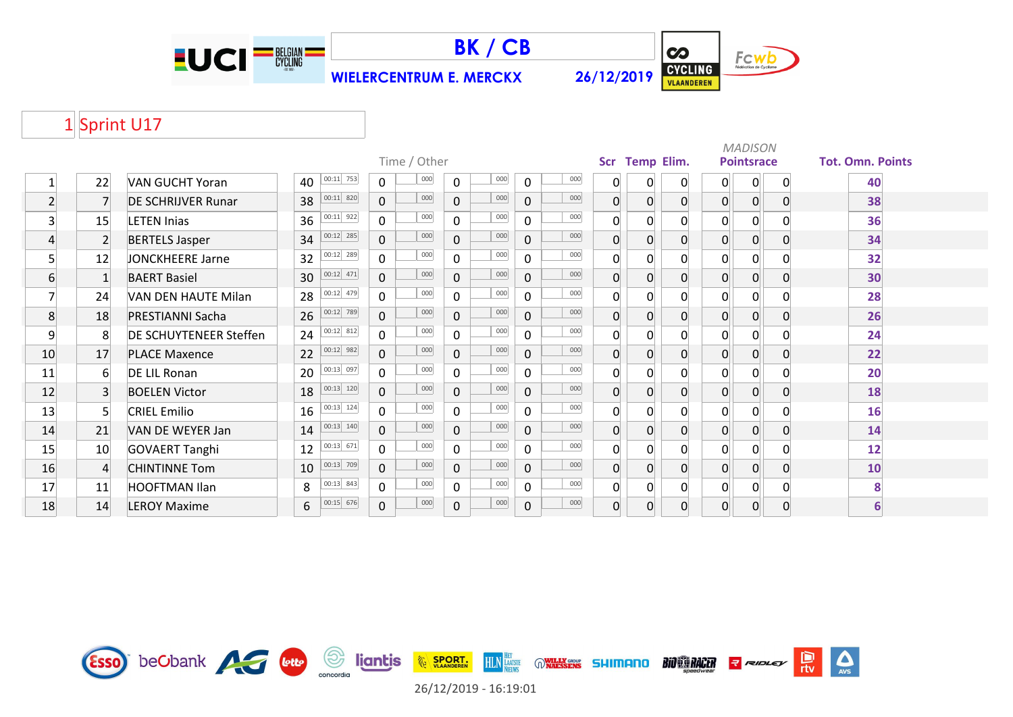



**WIELERCENTRUM E. MERCKX 26/12/2019**



# 1 Sprint U17

|                         |                |                           |                                | Time / Other          |                     |             |     | <b>Scr</b>       | <b>Temp Elim.</b> |                |                | <b>MADISON</b><br><b>Pointsrace</b> |              | <b>Tot. Omn. Points</b> |
|-------------------------|----------------|---------------------------|--------------------------------|-----------------------|---------------------|-------------|-----|------------------|-------------------|----------------|----------------|-------------------------------------|--------------|-------------------------|
|                         |                |                           | $00:11$ 753                    | 000                   | 000                 |             | 000 |                  |                   |                |                |                                     |              |                         |
|                         | 22             | <b>VAN GUCHT Yoran</b>    | 40                             | $\mathbf 0$           | $\mathbf 0$         | $\mathbf 0$ |     | $\mathbf{0}$     | 0                 | $\overline{0}$ | 0              | 0                                   | $\mathbf{0}$ | 40                      |
| $\overline{2}$          | $\overline{7}$ | <b>DE SCHRIJVER Runar</b> | $ 00:11 $ 820<br>38            | 000<br>$\overline{0}$ | 000<br>$\Omega$     | $\mathbf 0$ | 000 | $\overline{0}$   | 0                 | $\overline{0}$ | 0              | 0                                   | $\Omega$     | 38                      |
| $\overline{\mathbf{3}}$ | 15             | <b>LETEN Inias</b>        | $00:11$ 922<br>36              | 000<br>$\mathbf{0}$   | 000<br>$\Omega$     | $\mathbf 0$ | 000 | $\overline{0}$   | $\Omega$          | $\Omega$       | $\overline{0}$ | $\overline{0}$                      |              | 36                      |
| $\overline{4}$          | $\overline{2}$ | <b>BERTELS Jasper</b>     | $00:12$ 285<br>34              | 000<br>$\overline{0}$ | 000<br>$\mathbf 0$  | $\mathbf 0$ | 000 | $\mathbf 0$      | $\Omega$          | $\overline{0}$ | $\overline{0}$ | $\overline{0}$                      |              | 34                      |
| 5 <sup>1</sup>          | 12             | JONCKHEERE Jarne          | $00:12$ 289<br>32              | 000<br>$\overline{0}$ | 000<br>$\mathbf 0$  | $\mathbf 0$ | 000 | 0                | $\Omega$          | $\Omega$       | $\Omega$       | $\overline{0}$                      |              | 32                      |
| 6                       | $\mathbf{1}$   | <b>BAERT Basiel</b>       | $00:12$ 471<br>30              | 000<br>$\overline{0}$ | 000<br>$\mathbf 0$  | $\mathbf 0$ | 000 | $\overline{0}$   | $\Omega$          | $\overline{0}$ | 0              | 0                                   | $\Omega$     | 30                      |
| $\overline{7}$          | 24             | VAN DEN HAUTE Milan       | 00:12 479<br>28                | 000<br>$\mathbf{0}$   | 000<br>$\mathbf 0$  | $\mathbf 0$ | 000 | $\boldsymbol{0}$ | $\overline{0}$    | $\overline{0}$ | 0              | $\overline{0}$                      |              | 28                      |
| 8                       | 18             | PRESTIANNI Sacha          | 00:12 789<br>26                | 000<br>$\overline{0}$ | 000<br>$\Omega$     | $\Omega$    | 000 | 0                | $\overline{0}$    | $\overline{0}$ | $\overline{0}$ | $\overline{0}$                      |              | 26                      |
| 9                       | 8              | DE SCHUYTENEER Steffen    | $00:12$ 812<br>24              | 000<br>$\mathbf{0}$   | 000<br>$\mathbf{0}$ | $\mathbf 0$ | 000 | $\overline{0}$   | $\Omega$          | $\overline{0}$ | $\Omega$       | $\overline{0}$                      |              | 24                      |
| 10                      | 17             | <b>PLACE Maxence</b>      | $ 00:12 $ 982<br>22            | 000<br>$\overline{0}$ | 000<br>$\mathbf{0}$ | $\mathbf 0$ | 000 | $\overline{0}$   | $\overline{0}$    | $\overline{0}$ | 0              | 0                                   | $\Omega$     | 22                      |
| 11                      | 6              | DE LIL Ronan              | 00:13 097<br>20 <sup>1</sup>   | 000<br>$\mathbf{0}$   | 000<br>$\mathbf 0$  | $\mathbf 0$ | 000 | $\mathbf 0$      | $\Omega$          | $\overline{0}$ | $\Omega$       | 0                                   |              | 20                      |
| 12                      | $\overline{3}$ | <b>BOELEN Victor</b>      | $00:13$ 120<br>18              | 000<br>$\overline{0}$ | 000<br>$\Omega$     | $\mathbf 0$ | 000 | 0                | 0                 | $\Omega$       | 0              | $\overline{0}$                      |              | 18                      |
| 13                      | 5 <sup>1</sup> | <b>CRIEL Emilio</b>       | $00:13$ 124<br>16 <sup>1</sup> | 000<br>$\overline{0}$ | 000<br>$\mathbf{0}$ | $\mathbf 0$ | 000 | 0                | $\Omega$          | $\Omega$       | $\Omega$       | $\overline{0}$                      |              | 16                      |
| 14                      | 21             | VAN DE WEYER Jan          | 00:13 140 <br>14               | 000<br>$\mathsf{O}$   | 000<br>$\Omega$     | $\mathbf 0$ | 000 | $\overline{0}$   | $\Omega$          | $\overline{0}$ | 0              | $\Omega$                            |              | 14                      |
| 15                      | 10             | <b>GOVAERT Tanghi</b>     | $00:13$ 671<br>12              | 000<br>$\mathbf{0}$   | 000<br>$\mathbf 0$  | $\mathbf 0$ | 000 | $\boldsymbol{0}$ | $\overline{0}$    | $\overline{0}$ | 0              | $\overline{0}$                      |              | 12                      |
| 16                      | $\overline{4}$ | <b>CHINTINNE Tom</b>      | 00:13 709<br>10                | 000<br>$\overline{0}$ | 000<br>$\mathbf 0$  | $\mathbf 0$ | 000 | $\overline{0}$   | $\overline{0}$    | $\overline{0}$ | $\overline{0}$ | $\overline{0}$                      | $\Omega$     | 10                      |
| 17                      | 11             | <b>HOOFTMAN Ilan</b>      | 00:13 843 <br>8                | 000<br>$\overline{0}$ | 000<br>$\Omega$     | $\mathbf 0$ | 000 | $\overline{0}$   | $\Omega$          | $\Omega$       | $\Omega$       | $\overline{0}$                      | $\Omega$     | 8                       |
| 18                      | 14             | <b>LEROY Maxime</b>       | $00:15$ 676<br>6               | 000<br>$\overline{0}$ | 000<br>$\mathbf 0$  | $\mathbf 0$ | 000 | $\overline{0}$   | $\overline{0}$    | $\overline{0}$ | 0              | 0                                   | $\Omega$     | 6                       |

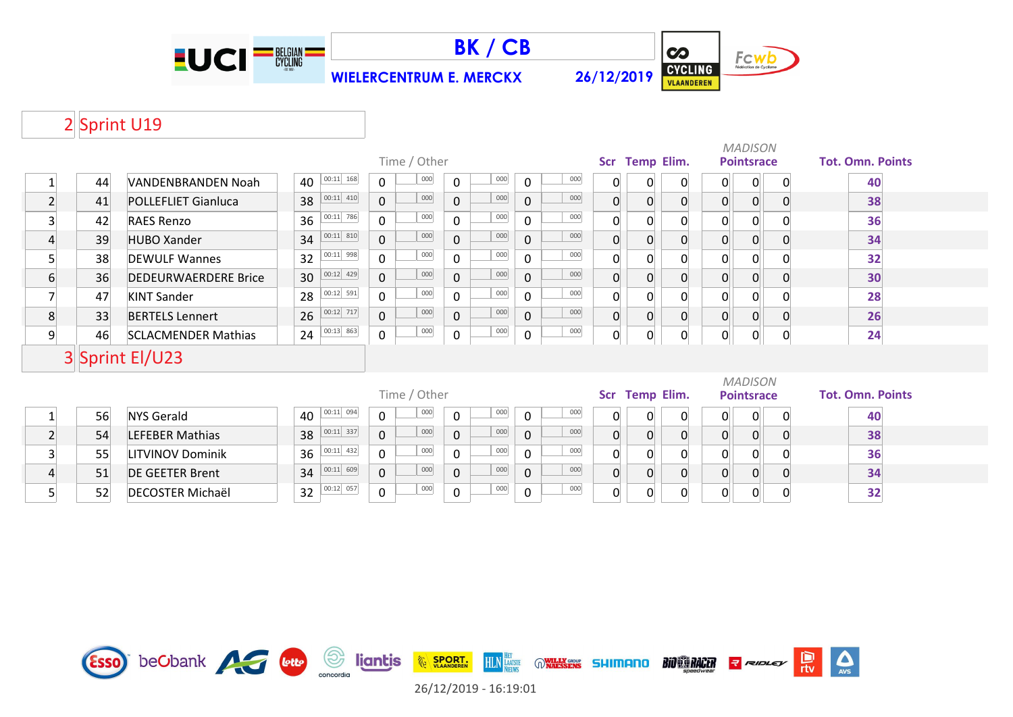



**WIELERCENTRUM E. MERCKX 26/12/2019**



 $\sum_{\text{AVS}}$ 

Pro

# 2 Sprint U19

|                         |    |                             |                     |                                                          |                     |                       |                |                   |                |                | <b>MADISON</b>    |                |                         |
|-------------------------|----|-----------------------------|---------------------|----------------------------------------------------------|---------------------|-----------------------|----------------|-------------------|----------------|----------------|-------------------|----------------|-------------------------|
|                         |    |                             |                     | Time / Other                                             |                     |                       |                | Scr Temp Elim.    |                |                | <b>Pointsrace</b> |                | <b>Tot. Omn. Points</b> |
| 1                       | 44 | VANDENBRANDEN Noah          | $ 00:11 $ 168<br>40 | 000<br>$\Omega$                                          | 000<br>0            | 000<br>0              | 0              | 0                 | 0              | 0              | 0                 | 0              | 40                      |
| $\overline{2}$          | 41 | <b>POLLEFLIET Gianluca</b>  | $ 00:11 $ 410<br>38 | 000<br>0                                                 | 000<br>$\mathbf 0$  | 000<br>$\overline{0}$ | $\overline{0}$ | $\overline{0}$    | $\mathbf{0}$   | 0              | $\overline{0}$    | $\overline{0}$ | 38                      |
| $\overline{\mathbf{3}}$ | 42 | <b>RAES Renzo</b>           | $ 00:11 $ 786<br>36 | 000<br>$\mathbf 0$                                       | 000<br>0            | 000<br>$\mathbf 0$    | 0              | $\overline{0}$    | 0              | 0              | $\Omega$          |                | 36                      |
| $\overline{4}$          | 39 | <b>HUBO Xander</b>          | $ 00:11 $ 810<br>34 | 000<br>$\mathbf{0}$                                      | 000<br>$\mathbf 0$  | 000<br>$\mathbf 0$    | $\overline{0}$ | $\overline{0}$    | 0              | $\overline{0}$ | $\overline{0}$    | $\overline{0}$ | 34                      |
| $\overline{5}$          | 38 | <b>DEWULF Wannes</b>        | $ 00:11 $ 998<br>32 | 000<br>$\mathbf 0$                                       | 000<br>$\mathbf{0}$ | 000<br>0              | 0              | 0                 | 0              | 0              | $\mathbf{0}$      |                | 32                      |
| 6                       | 36 | <b>DEDEURWAERDERE Brice</b> | $ 00:12 $ 429<br>30 | 000<br>$\overline{0}$                                    | 000<br>$\mathbf 0$  | 000<br>$\overline{0}$ | $\mathbf{0}$   | $\overline{0}$    | 0              | 0              | $\mathbf{0}$      |                | 30                      |
| $\overline{7}$          | 47 | <b>KINT Sander</b>          | $00:12$ 591<br>28   | 000<br>$\Omega$                                          | 000<br>$\Omega$     | 000<br>$\Omega$       | 0              | 0                 | 0              | 0              | 0                 |                | 28                      |
| 8                       | 33 | <b>BERTELS Lennert</b>      | 00:12 717<br>26     | 000<br>$\mathbf{0}$                                      | 000<br>$\mathbf 0$  | 000<br>$\Omega$       | $\overline{0}$ | $\overline{0}$    | $\overline{0}$ | $\overline{0}$ | $\overline{0}$    | $\overline{0}$ | 26                      |
| 9                       | 46 | <b>SCLACMENDER Mathias</b>  | 00:13 863<br>24     | 000<br>0                                                 | 000<br>0            | 000<br>0              | 0              | $\overline{0}$    | $\Omega$       | $\mathsf{O}$   | 0                 | $\overline{0}$ | 24                      |
|                         |    | 3 Sprint El/U23             |                     |                                                          |                     |                       |                |                   |                |                |                   |                |                         |
|                         |    |                             |                     |                                                          |                     |                       |                |                   |                |                | <b>MADISON</b>    |                |                         |
|                         |    |                             |                     | Time / Other                                             |                     |                       |                | <b>Temp Elim.</b> |                |                | <b>Pointsrace</b> |                | <b>Tot. Omn. Points</b> |
| $\mathbf{1}$            | 56 | <b>NYS Gerald</b>           | $00:11$ 094<br>40   | 000<br>$\mathbf{0}$                                      | 000<br>$\mathbf{0}$ | 000<br>$\Omega$       | 0              | $\mathbf{0}$      | 0              | 0              | $\overline{0}$    | $\mathbf 0$    | 40                      |
| $\overline{2}$          | 54 | <b>LEFEBER Mathias</b>      | $ 00:11 $ 337<br>38 | 000<br>$\overline{0}$                                    | 000<br>$\mathbf 0$  | 000<br>$\mathbf 0$    | 0              | $\overline{0}$    | 0              | $\overline{0}$ | $\overline{0}$    | $\overline{0}$ | 38                      |
| $\overline{\mathbf{3}}$ | 55 | LITVINOV Dominik            | $ 00:11 $ 432<br>36 | 000<br>000<br>000<br>$\mathbf 0$<br>$\Omega$<br>$\Omega$ |                     | $\Omega$              | $\Omega$       |                   | $\overline{0}$ | 0              |                   | 36             |                         |
| $\overline{4}$          | 51 | <b>DE GEETER Brent</b>      | $ 00:11 $ 609<br>34 | 000<br>$\mathbf{0}$                                      | 000<br>$\mathbf 0$  | 000<br>$\mathbf 0$    | 0              | $\overline{0}$    | 0              | 0              | $\overline{0}$    | $\Omega$       | 34                      |
| 5                       | 52 | <b>DECOSTER Michaël</b>     | 00:12 057<br>32     | 000<br>0                                                 | 000<br>0            | 000<br>0              | 0              | $\overline{0}$    |                | 0              | 0                 |                | 32                      |

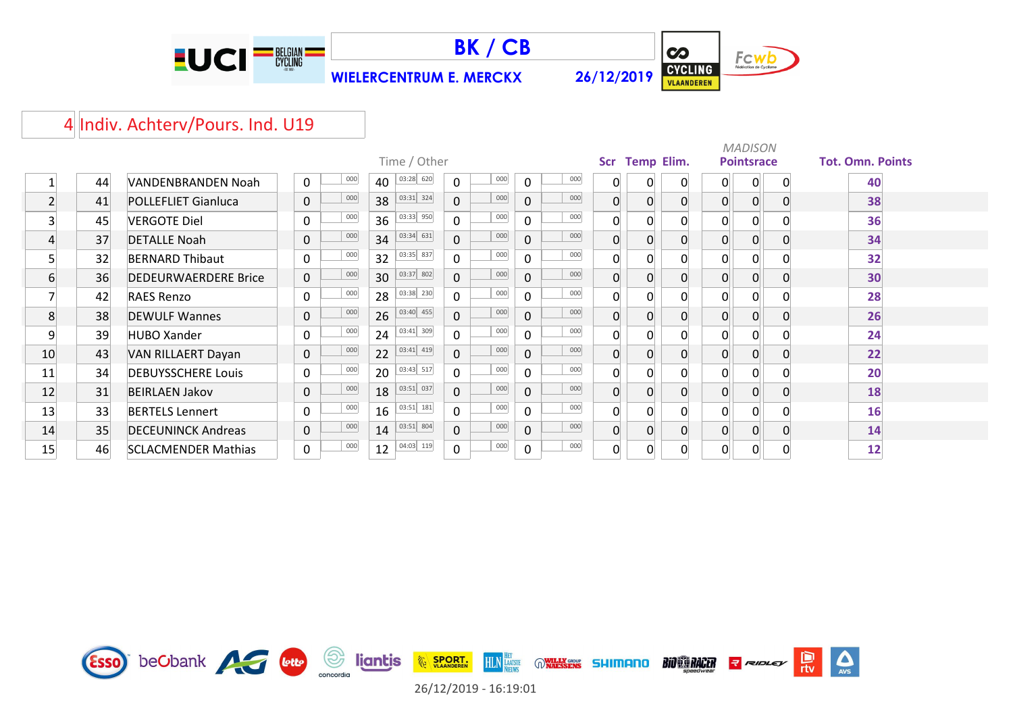



**WIELERCENTRUM E. MERCKX 26/12/2019**



 $\sum_{\text{AVS}}$ 

### 4 Indiv. Achterv/Pours. Ind. U19

|                |    |                             |             |     |    | Time / Other |                |     |                |     | Scr      | <b>Temp Elim.</b> |                | <b>MADISON</b><br><b>Pointsrace</b> |          | <b>Tot. Omn. Points</b> |
|----------------|----|-----------------------------|-------------|-----|----|--------------|----------------|-----|----------------|-----|----------|-------------------|----------------|-------------------------------------|----------|-------------------------|
|                | 44 | <b>VANDENBRANDEN Noah</b>   | 0           | 000 | 40 | 03:28 620    | $\Omega$       | 000 | $\mathbf 0$    | 000 | 0        | 0                 | 0              | 0                                   | $\Omega$ | 40                      |
| $\overline{2}$ | 41 | <b>POLLEFLIET Gianluca</b>  | 0           | 000 | 38 | 03:31 324    | $\Omega$       | 000 | $\mathbf{0}$   | 000 | 0        | 0                 | $\overline{0}$ | 0                                   |          | 38                      |
| 3              | 45 | <b>VERGOTE Diel</b>         | $\Omega$    | 000 | 36 | 03:33 950    | $\Omega$       | 000 | $\Omega$       | 000 | $\Omega$ | 0                 | $\overline{0}$ | 0                                   |          | 36                      |
| 4              | 37 | <b>DETALLE Noah</b>         | $\mathbf 0$ | 000 | 34 | 03:34 631    | $\mathbf 0$    | 000 | $\overline{0}$ | 000 | 0        | $\Omega$          | 0              | 0                                   |          | 34                      |
| 5              | 32 | <b>BERNARD Thibaut</b>      | 0           | 000 | 32 | 03:35 837    | $\Omega$       | 000 | $\mathbf{0}$   | 000 | 0        | $\Omega$          | 0              |                                     |          | 32                      |
| 6              | 36 | <b>DEDEURWAERDERE Brice</b> | 0           | 000 | 30 | 03:37 802    | $\overline{0}$ | 000 | $\mathbf 0$    | 000 | 0        | 0                 | $\overline{0}$ |                                     |          | 30                      |
|                | 42 | <b>RAES Renzo</b>           | $\Omega$    | 000 | 28 | 03:38 230    | $\Omega$       | 000 | $\mathbf{0}$   | 000 | 0        | 0                 | $\overline{0}$ | 0                                   |          | 28                      |
| 8              | 38 | <b>DEWULF Wannes</b>        | $\mathbf 0$ | 000 | 26 | 03:40 455    | $\mathbf{0}$   | 000 | 0              | 000 | 0        | 0                 | $\mathbf{0}$   |                                     |          | 26                      |
| 9              | 39 | <b>HUBO Xander</b>          | 0           | 000 | 24 | 03:41 309    | $\Omega$       | 000 | $\mathbf{0}$   | 000 | ი        | 0                 | $\Omega$       | 0                                   |          | 24                      |
| 10             | 43 | VAN RILLAERT Dayan          | 0           | 000 | 22 | 03:41 419    | $\Omega$       | 000 | $\mathbf{0}$   | 000 | 0        | 0                 | $\overline{0}$ |                                     |          | 22                      |
| 11             | 34 | <b>DEBUYSSCHERE Louis</b>   | $\Omega$    | 000 | 20 | 03:43 517    | $\Omega$       | 000 | $\Omega$       | 000 | 0        | 0                 | $\overline{0}$ | 0                                   |          | 20                      |
| 12             | 31 | <b>BEIRLAEN Jakov</b>       | $\mathbf 0$ | 000 | 18 | 03:51 037    | $\Omega$       | 000 | $\mathbf{0}$   | 000 | 0        | 0                 | $\mathbf{0}$   | 0                                   |          | 18                      |
| 13             | 33 | <b>BERTELS Lennert</b>      | $\Omega$    | 000 | 16 | 03:51 181    | $\Omega$       | 000 | $\mathbf 0$    | 000 | $\Omega$ | O                 | $\Omega$       | O                                   |          | 16                      |
| 14             | 35 | <b>DECEUNINCK Andreas</b>   | $\mathbf 0$ | 000 | 14 | 03:51 804    | $\mathbf 0$    | 000 | $\overline{0}$ | 000 | 0        | 0                 | $\overline{0}$ | 0                                   |          | 14                      |
| 15             | 46 | <b>SCLACMENDER Mathias</b>  | 0           | 000 | 12 | 04:03 119    | $\mathbf 0$    | 000 | 0              | 000 | 0        | $\Omega$          | 0              | 0                                   |          | 12                      |



26/12/2019 - 16:19:01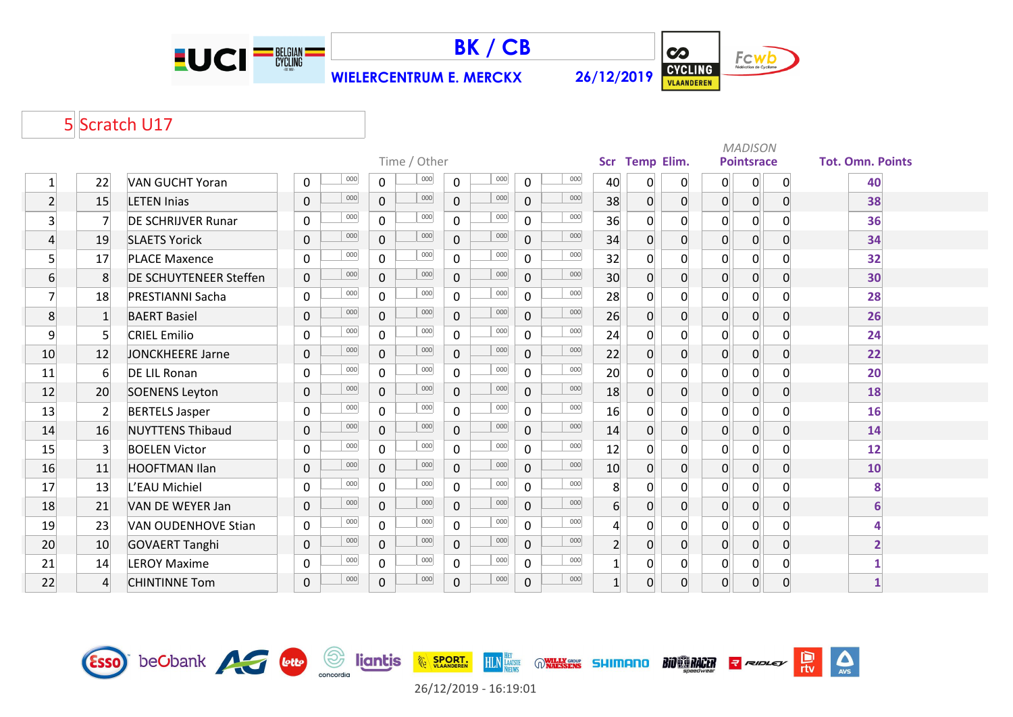

Esso beObank AG Lette



**WIELERCENTRUM E. MERCKX 26/12/2019**



 $\Delta$ 

 $\frac{D}{\pi v}$ 

**R** RIDLEY

**BIO CO RACER** 

## 5 Scratch U17

|                |                  |                            |                    | Time / Other          |                       |                       |                  | Scr Temp Elim. |                |                | <b>MADISON</b><br><b>Pointsrace</b> |                | <b>Tot. Omn. Points</b> |
|----------------|------------------|----------------------------|--------------------|-----------------------|-----------------------|-----------------------|------------------|----------------|----------------|----------------|-------------------------------------|----------------|-------------------------|
| $\mathbf{1}$   | 22               | <b>VAN GUCHT Yoran</b>     | 000<br>0           | 000<br>$\mathbf 0$    | 000<br>$\mathbf 0$    | 000<br>$\mathsf{O}$   | 40               | $\mathbf 0$    | $\overline{0}$ | $\mathbf{0}$   | $\overline{0}$                      | 0              | 40                      |
| $\overline{2}$ | 15               | <b>LETEN Inias</b>         | 000<br>$\mathbf 0$ | 000<br>$\overline{0}$ | 000<br>0              | 000<br>0              | 38               | $\overline{0}$ | 0              | 0              | 0                                   | $\overline{0}$ | 38                      |
| $\overline{3}$ | $\overline{7}$   | <b>DE SCHRIJVER Runar</b>  | 000<br>0           | 000<br>$\mathbf{0}$   | 000<br>$\mathbf{0}$   | 000<br>$\mathbf 0$    | 36               | $\overline{0}$ | 0              | $\Omega$       | $\Omega$                            |                | 36                      |
| 4              | 19               | <b>SLAETS Yorick</b>       | 000<br>$\mathbf 0$ | 000<br>$\Omega$       | 000<br>$\Omega$       | 000<br>$\overline{0}$ | 34               | $\overline{0}$ | 0              | $\overline{0}$ | 0                                   | $\Omega$       | 34                      |
| $\mathsf{S}$   | 17               | <b>PLACE Maxence</b>       | 000<br>$\mathbf 0$ | 000<br>$\overline{0}$ | 000<br>$\Omega$       | 000<br>$\mathbf 0$    | 32               | $\overline{0}$ | 0              | $\overline{0}$ | 0                                   |                | 32                      |
| 6              | 8                | DE SCHUYTENEER Steffen     | 000<br>$\mathbf 0$ | 000<br>$\Omega$       | 000<br>0              | 000<br>$\overline{0}$ | 30               | $\overline{0}$ | 0              | 0              | 0                                   | $\Omega$       | 30                      |
| $\overline{7}$ | 18               | <b>PRESTIANNI Sacha</b>    | 000<br>0           | 000<br>$\Omega$       | 000<br>$\Omega$       | 000<br>$\mathbf 0$    | 28               | $\overline{0}$ | 0              | 0              | 0                                   | <sup>0</sup>   | 28                      |
| 8              | $\mathbf{1}$     | <b>BAERT Basiel</b>        | 000<br>$\mathbf 0$ | 000<br>$\mathbf 0$    | 000<br>$\overline{0}$ | 000<br>$\overline{0}$ | 26               | $\overline{0}$ | 0              | 0              | 0                                   | $\Omega$       | 26                      |
| 9              | $\overline{5}$   | <b>CRIEL Emilio</b>        | 000<br>$\mathbf 0$ | 000<br>$\overline{0}$ | 000<br>$\mathbf{0}$   | 000<br>$\overline{0}$ | 24               | $\overline{0}$ | 0              | 0              | $\Omega$                            | <sup>n</sup>   | 24                      |
| 10             | 12               | JONCKHEERE Jarne           | 000<br>$\mathbf 0$ | 000<br>$\mathbf{0}$   | 000<br>$\mathbf{0}$   | 000<br>0              | 22               | $\overline{0}$ | 0              | $\overline{0}$ | $\Omega$                            | $\Omega$       | 22                      |
| 11             | $6 \overline{6}$ | <b>DE LIL Ronan</b>        | 000<br>$\mathbf 0$ | 000<br>$\Omega$       | 000<br>$\Omega$       | 000<br>0              | 20               | $\overline{0}$ | 0              | 0              | 0                                   | $\Omega$       | 20                      |
| 12             | 20               | <b>SOENENS Leyton</b>      | 000<br>$\mathbf 0$ | 000<br>$\overline{0}$ | 000<br>$\overline{0}$ | 000<br>$\mathbf{0}$   | 18               | $\overline{0}$ | 0              | 0              | 0                                   | $\Omega$       | 18                      |
| 13             | $\overline{2}$   | <b>BERTELS Jasper</b>      | 000<br>0           | 000<br>$\Omega$       | 000<br>$\Omega$       | 000<br>0              | 16               | $\overline{0}$ | 0              | 0              | 0                                   | <sup>0</sup>   | 16                      |
| 14             | 16               | <b>NUYTTENS Thibaud</b>    | 000<br>$\mathbf 0$ | 000<br>$\Omega$       | 000<br>$\Omega$       | 000<br>$\mathbf{0}$   | 14               | $\overline{0}$ | $\overline{0}$ | 0              | 0                                   | $\Omega$       | 14                      |
| 15             | 3                | <b>BOELEN Victor</b>       | 000<br>0           | 000<br>$\mathbf 0$    | 000<br>$\mathbf 0$    | 000<br>$\mathsf{O}$   | 12               | 0              | 0              | 0              | 0                                   | $\Omega$       | 12                      |
| 16             | 11               | <b>HOOFTMAN Ilan</b>       | 000<br>$\mathbf 0$ | 000<br>$\Omega$       | 000<br>0              | 000<br>0              | 10               | $\overline{0}$ | 0              | $\overline{0}$ | $\overline{0}$                      | $\Omega$       | 10                      |
| 17             | 13               | L'EAU Michiel              | 000<br>0           | 000<br>$\Omega$       | 000<br>$\Omega$       | 000<br>$\mathbf 0$    | 8                | $\overline{0}$ | $\Omega$       | 0              | $\Omega$                            | <sup>n</sup>   | 8                       |
| 18             | 21               | VAN DE WEYER Jan           | 000<br>$\mathbf 0$ | 000<br>$\overline{0}$ | 000<br>0              | 000<br>$\overline{0}$ | $6 \overline{6}$ | $\overline{0}$ | 0              | $\overline{0}$ | 0                                   | $\overline{0}$ | 6                       |
| 19             | 23               | <b>VAN OUDENHOVE Stian</b> | 000<br>$\mathbf 0$ | 000<br>$\overline{0}$ | 000<br>$\mathbf{0}$   | 000<br>$\mathbf 0$    | $\overline{4}$   | $\overline{0}$ | 0              | 0              | 0                                   |                | Δ                       |
| 20             | 10               | <b>GOVAERT Tanghi</b>      | 000<br>$\mathbf 0$ | 000<br>$\Omega$       | 000<br>$\Omega$       | 000<br>$\overline{0}$ | $\overline{2}$   | $\overline{0}$ | $\overline{0}$ | $\overline{0}$ | 0                                   | $\Omega$       | $\overline{2}$          |
| 21             | 14               | <b>LEROY Maxime</b>        | 000<br>0           | 000<br>$\Omega$       | 000<br>$\Omega$       | 000<br>$\overline{0}$ | $\mathbf{1}$     | $\overline{0}$ | 0              | 0              | 0                                   | $\Omega$       |                         |
| 22             | $\overline{4}$   | <b>CHINTINNE Tom</b>       | 000<br>$\pmb{0}$   | 000<br>$\mathbf 0$    | 000<br>0              | 000<br>0              | $1\overline{ }$  | $\overline{0}$ | 0              | 0              | 0                                   | $\overline{0}$ | $\mathbf{1}$            |



**HLN**<br>**HLN**<br>NEIWS

**WILLY GROUP SHIMANO** 

**EXAMPLE SPORT.** 

**September 11**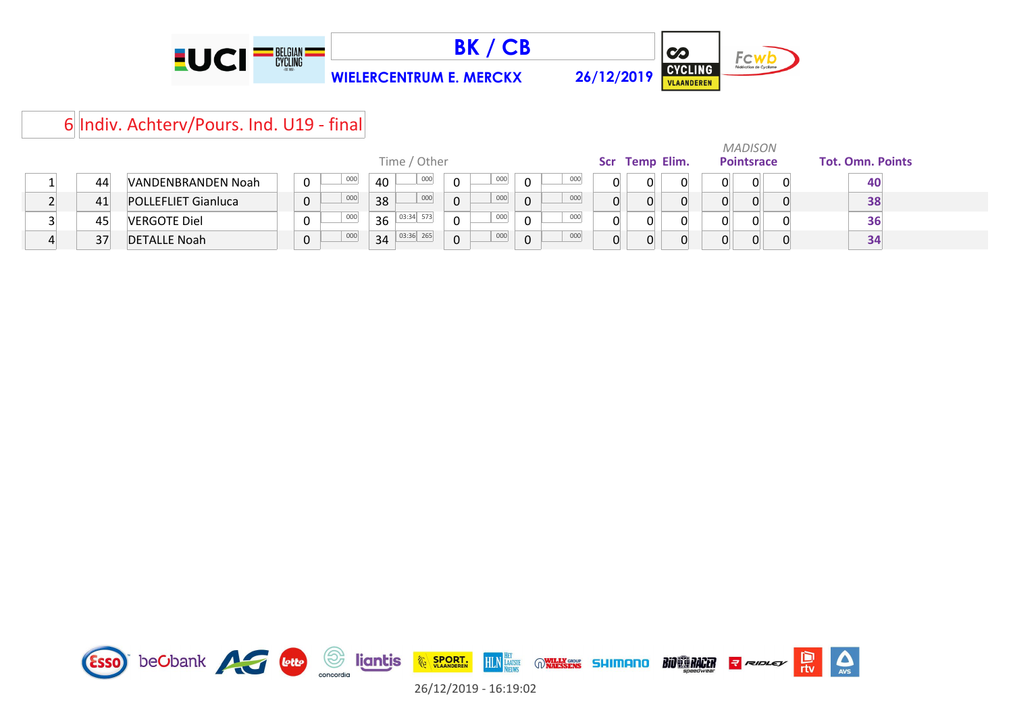





# 6 Indiv. Achterv/Pours. Ind. U19 - final

|   |    |                            |          |                 |             |     |          |     |                |    | <b>MADISON</b>    |                         |
|---|----|----------------------------|----------|-----------------|-------------|-----|----------|-----|----------------|----|-------------------|-------------------------|
|   |    |                            |          | Time / Other    |             |     |          |     | Scr Temp Elim. |    | <b>Pointsrace</b> | <b>Tot. Omn. Points</b> |
|   | 44 | VANDENBRANDEN Noah         | 000<br>0 | 000<br>40       | $\Omega$    | 000 | 0        | 000 |                | 0  |                   | 40                      |
|   | 41 | <b>POLLEFLIET Gianluca</b> | 000<br>0 | 000<br>38       | $\Omega$    | 000 | $\Omega$ | 000 |                | 0  |                   | 38                      |
|   | 45 | <b>VERGOTE Diel</b>        | 000<br>0 | 03:34 573<br>36 | $\mathbf 0$ | 000 | 0        | 000 |                | 0. |                   | 36                      |
| ▵ | 37 | <b>DETALLE Noah</b>        | 000<br>0 | 03:36 265<br>34 | $\Omega$    | 000 | 0        | 000 |                | 0. |                   | 34                      |

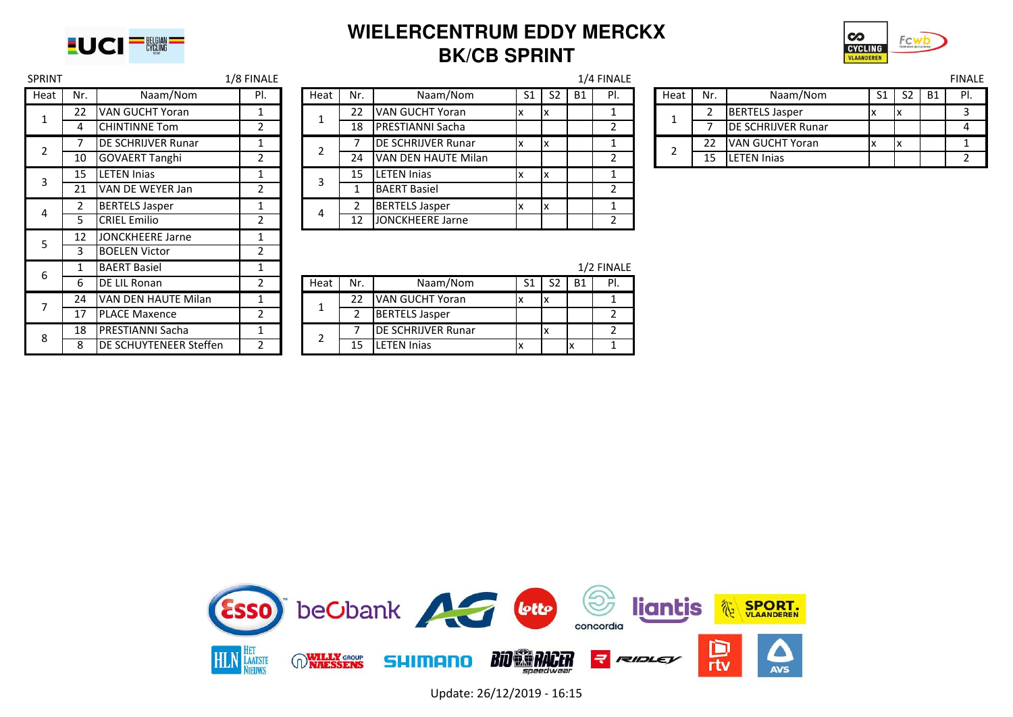

## **WIELERCENTRUM EDDY MERCKX BK/CB SPRINT**



| SPRINT         |                |                               | <b>I/8 FINALE</b> |                |              |                           |    |                |           | 1/4 FINALE     |
|----------------|----------------|-------------------------------|-------------------|----------------|--------------|---------------------------|----|----------------|-----------|----------------|
| Heat           | Nr.            | Naam/Nom                      | PI.               | Heat           | Nr.          | Naam/Nom                  | S1 | S <sub>2</sub> | <b>B1</b> | PI.            |
| 1              | 22             | <b>VAN GUCHT Yoran</b>        | 1                 | 1              | 22           | <b>VAN GUCHT Yoran</b>    | x  | x              |           | $\mathbf{1}$   |
|                | 4              | <b>CHINTINNE Tom</b>          | $\overline{2}$    |                | 18           | <b>PRESTIANNI Sacha</b>   |    |                |           | $\overline{2}$ |
| $\overline{2}$ | 7              | <b>DE SCHRIJVER Runar</b>     | 1                 | $\overline{2}$ |              | <b>DE SCHRIJVER Runar</b> | x  | Ιx             |           | $\mathbf{1}$   |
|                | 10             | <b>GOVAERT Tanghi</b>         | $\overline{2}$    |                | 24           | VAN DEN HAUTE Milan       |    |                |           | $\overline{2}$ |
| 3              | 15             | <b>LETEN Inias</b>            | 1                 | 3              | 15           | <b>LETEN Injas</b>        | x  | x              |           | $\mathbf{1}$   |
|                | 21             | VAN DE WEYER Jan              | 2                 |                | $\mathbf{1}$ | <b>BAERT Basiel</b>       |    |                |           | 2              |
| 4              | $\overline{2}$ | <b>BERTELS Jasper</b>         | 1                 | 4              | 2            | <b>BERTELS Jasper</b>     | x  | x              |           | $\mathbf{1}$   |
|                | 5.             | <b>CRIEL Emilio</b>           | $\overline{2}$    |                | 12           | <b>JONCKHEERE Jarne</b>   |    |                |           | $\overline{2}$ |
| 5              | 12             | <b>JONCKHEERE Jarne</b>       | $\mathbf{1}$      |                |              |                           |    |                |           |                |
|                | 3.             | <b>BOELEN Victor</b>          | $\overline{2}$    |                |              |                           |    |                |           |                |
| 6              | 1              | <b>BAERT Basiel</b>           | 1                 |                |              |                           |    |                |           | 1/2 FINALE     |
|                | 6              | <b>DE LIL Ronan</b>           | $\overline{2}$    | Heat           | Nr.          | Naam/Nom                  | S1 | S <sub>2</sub> | <b>B1</b> | PI.            |
| 7              | 24             | VAN DEN HAUTE Milan           | $\mathbf{1}$      | 1              | 22           | VAN GUCHT Yoran           | x  | x              |           | $\mathbf{1}$   |
|                | 17             | <b>PLACE Maxence</b>          | 2                 |                | 2            | <b>BERTELS Jasper</b>     |    |                |           | $\overline{2}$ |
| 8              | 18             | <b>PRESTIANNI Sacha</b>       | 1                 | $\overline{2}$ |              | DE SCHRIJVER Runar        |    | x              |           | $\overline{2}$ |
|                | 8              | <b>DE SCHUYTENEER Steffen</b> | $\overline{2}$    |                | 15           | <b>LETEN Inias</b>        | x  |                | x         | 1              |

|                |                        | <b>I/O FINALE</b> |      |     |                           |    |                |           | 1/4 FINALI |
|----------------|------------------------|-------------------|------|-----|---------------------------|----|----------------|-----------|------------|
| Nr.            | Naam/Nom               | PI.               | Heat | Nr. | Naam/Nom                  | S1 | S <sub>2</sub> | <b>B1</b> | PI.        |
| 22             | <b>VAN GUCHT Yoran</b> |                   |      | 22  | <b>VAN GUCHT Yoran</b>    | х  | X              |           |            |
| $\overline{4}$ | <b>CHINTINNE Tom</b>   |                   |      | 18  | <b>PRESTIANNI Sacha</b>   |    |                |           |            |
| $\overline{7}$ | DE SCHRIJVER Runar     |                   | າ    |     | <b>DE SCHRIJVER Runar</b> |    | X              |           |            |
| 10             | <b>GOVAERT Tanghi</b>  |                   |      | 24  | VAN DEN HAUTE Milan       |    |                |           |            |
| 15             | <b>LETEN Injas</b>     |                   | 3    | 15  | <b>LETEN Inias</b>        | ᄉ  | X              |           |            |
| 21             | VAN DE WEYER Jan       |                   |      |     | <b>BAERT Basiel</b>       |    |                |           |            |
| $2^{\circ}$    | <b>BERTELS Jasper</b>  |                   | 4    | 2   | <b>BERTELS Jasper</b>     | ΙX | X              |           |            |
| 5              | <b>CRIEL Emilio</b>    |                   |      | 12  | <b>JONCKHEERE Jarne</b>   |    |                |           |            |

| SPRINT |     |                            | L/8 FINALE |      |    |                            |    |                |           | 1/4 FINALE |      |     |                            |    |                |      | <b>FINALE</b> |
|--------|-----|----------------------------|------------|------|----|----------------------------|----|----------------|-----------|------------|------|-----|----------------------------|----|----------------|------|---------------|
| Heat   | Nr. | Naam/Nom                   | DI<br>٠.   | Heat | Nr | Naam/Nom                   |    | S <sub>2</sub> | <b>B1</b> | ΡI         | Heat | Nr. | Naam/Nom                   | S1 | S <sub>2</sub> | . B1 |               |
|        | 22  | <b>IVAN GUCHT Yoran</b>    |            |      |    | VAN GUCHT Yoran            |    | Iχ             |           |            |      |     | <b>BERTELS Jasper</b>      |    |                |      |               |
|        |     | <b>ICHINTINNE Tom</b>      |            |      | 18 | <b>IPRESTIANNI Sacha</b>   |    |                |           |            |      |     | <b>IDE SCHRIJVER Runar</b> |    |                |      |               |
|        |     | <b>IDE SCHRIJVER Runar</b> |            |      |    | <b>IDE SCHRIJVER Runar</b> | ΙX | Ιx             |           |            |      |     | <b>VAN GUCHT Yoran</b>     |    |                |      |               |
|        | 10  | <b>GOVAERT Tanghi</b>      |            |      | 24 | VAN DEN HAUTE Milan        |    |                |           |            |      |     | <b>LETEN Injas</b>         |    |                |      |               |

|    | IBAERT Basiel                  |  |      |     |                            |    |    |           | <b>I/Z FINALE</b> |
|----|--------------------------------|--|------|-----|----------------------------|----|----|-----------|-------------------|
| 6  | DE LIL Ronan                   |  | Heat | Nr. | Naam/Nom                   | S1 | S2 | <b>B1</b> | PI.               |
| 24 | <b>IVAN DEN HAUTE Milan</b>    |  |      |     | VAN GUCHT Yoran            |    | ΙX |           |                   |
| 17 | <b>PLACE Maxence</b>           |  |      |     | <b>BERTELS Jasper</b>      |    |    |           |                   |
| 18 | IPRESTIANNI Sacha              |  |      |     | <b>IDE SCHRIJVER Runar</b> |    | X  |           |                   |
| 8  | <b>IDE SCHUYTENEER Steffen</b> |  |      | 15  | LETEN Inias                |    |    |           |                   |



Update: 26/12/2019 - 16:15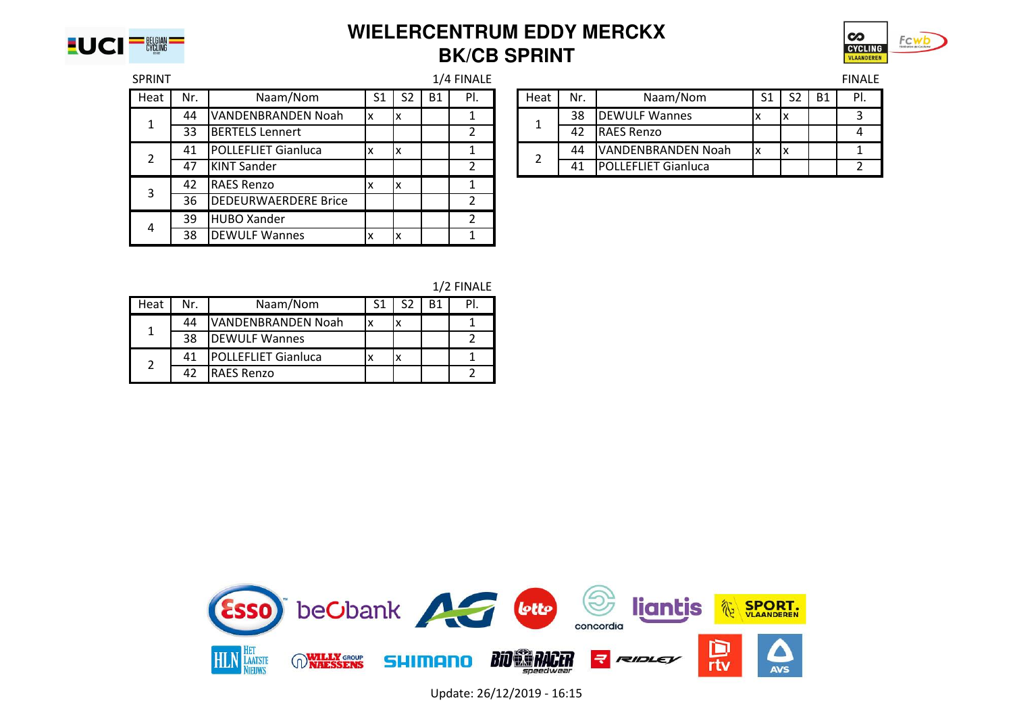

## **WIELERCENTRUM EDDY MERCKX BK/CB SPRINT**



| <b>SPRINT</b> |     |                            |                |                |           | 1/4 FINALE |      |     |                            |                |                |    | <b>FINALE</b> |
|---------------|-----|----------------------------|----------------|----------------|-----------|------------|------|-----|----------------------------|----------------|----------------|----|---------------|
| Heat          | Nr. | Naam/Nom                   | S <sub>1</sub> | S <sub>2</sub> | <b>B1</b> | PI.        | Heat | Nr. | Naam/Nom                   | S <sub>1</sub> | S <sub>2</sub> | B1 | PI.           |
|               | 44  | VANDENBRANDEN Noah         | X              | IΧ             |           |            |      | 38  | <b>DEWULF Wannes</b>       | $\lambda$      | IΧ             |    |               |
|               | 33  | <b>BERTELS Lennert</b>     |                |                |           |            |      | 42  | <b>RAES Renzo</b>          |                |                |    |               |
|               | 41  | <b>POLLEFLIET Gianluca</b> |                | Iχ             |           |            |      | 44  | VANDENBRANDEN Noah         | x              | X              |    |               |
|               | 47  | <b>KINT Sander</b>         |                |                |           | 2          |      | 41  | <b>POLLEFLIET Gianluca</b> |                |                |    |               |
|               | 42  | <b>RAES Renzo</b>          |                | Iχ             |           |            |      |     |                            |                |                |    |               |
|               | 36  | DEDEURWAERDERE Brice       |                |                |           |            |      |     |                            |                |                |    |               |
| 4             | 39  | <b>HUBO Xander</b>         |                |                |           | า          |      |     |                            |                |                |    |               |
|               | 38  | <b>IDEWULF Wannes</b>      |                | Iχ             |           |            |      |     |                            |                |                |    |               |

|     |                            |    |           | 1/4 FINALE |      |     |                             |    |    |           | <b>FINALE</b> |
|-----|----------------------------|----|-----------|------------|------|-----|-----------------------------|----|----|-----------|---------------|
| Nr. | Naam/Nom                   |    | <b>B1</b> | PI.        | Heat | Nr. | Naam/Nom                    | S1 | S2 | <b>B1</b> | PI.           |
| 44  | VANDENBRANDEN Noah         | Iv |           |            |      | 38  | <b>IDEWULF Wannes</b>       |    | ΙX |           |               |
| 33  | <b>BERTELS Lennert</b>     |    |           |            |      | 42  | <b>IRAES Renzo</b>          |    |    |           |               |
| 41  | <b>POLLEFLIET Gianluca</b> |    |           |            |      | 44  | VANDENBRANDEN Noah          |    | ΙX |           |               |
| 47  | <b>KINT Sander</b>         |    |           |            |      | 41  | <b>IPOLLEFLIET Gianluca</b> |    |    |           |               |

|  | 1/2 FINALE |  |
|--|------------|--|
|--|------------|--|

| Heat | Nr. | Naam/Nom                   |  |  |
|------|-----|----------------------------|--|--|
|      | 44  | VANDENBRANDEN Noah         |  |  |
|      | 38  | <b>DEWULF Wannes</b>       |  |  |
|      | 41  | <b>POLLEFLIET Gianluca</b> |  |  |
|      | 42  | <b>RAES Renzo</b>          |  |  |



Update: 26/12/2019 - 16:15